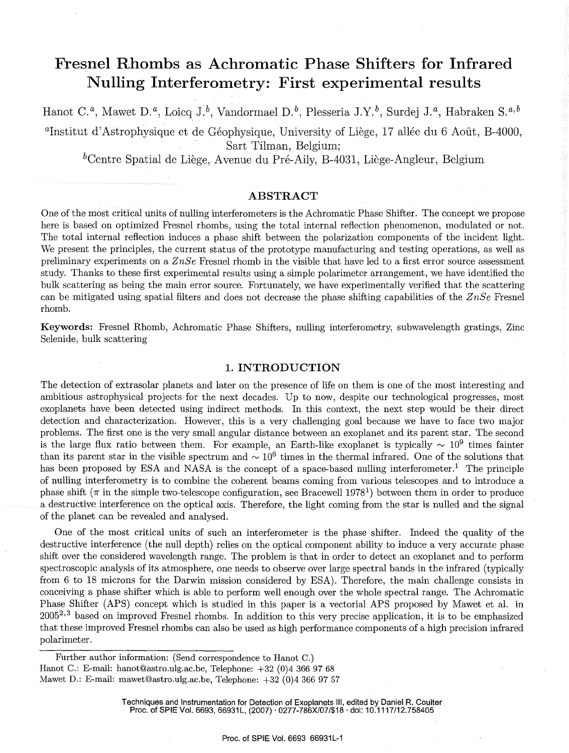# **Fresnel Rhombs as Achromatic Phase Shifters for Infrared Nulling Interferometry: First experimental results**

Hanot *c.a,* Mawet *D.a,* Loicq *J.b,* Vandormael *D.b,* Plesseria *J.Y.b,* Surdej *J.a,* Habraken *s.a,b* 

<sup>a</sup>Institut d'Astrophysique et de Géophysique, University of Liège, 17 allée du 6 Août, B-4000, Sart Tilman, Belgium;

 ${}^b$ Centre Spatial de Liège, Avenue du Pré-Aily, B-4031, Liège-Angleur, Belgium

# **ABSTRACT**

One of the most critical units of nulling interferometers is the Achromatic Phase Shifter. The concept we propose here is based on optimized Fresnel rhombs, using the total internal reflection phenomenon, modulated or not. The total internal reflection induces a phase shift between the polarization components of the incident light. We present the principles, the current status of the prototype manufacturing and testing operations, as well as preliminary experiments on a *ZnSe* Fresnel rhomb in the visible that have led to a first error source assessment study. Thanks to these first experimental results using a simple polarimeter arrangement, we have identified the bulk scattering as being the main error source. Fortunately, we have experimentally verified that the scattering can be mitigated using spatial filters and does not decrease the phase shifting capabilities of the *ZnSe* Fresnel rhomb.

Keywords: Fresnel Rhomb, Achromatic Phase Shifters, nulling interferometry, subwavelength gratings, Zinc Selenide, bulk scattering

# **1. INTRODUCTION**

The detection of extrasolar planets and later on the presence of life on them is one of the most interesting and ambitious astrophysical projects for the next decades. Up to now, despite our technological progresses, most exoplanets have been detected using indirect methods. In this context, the next step would be their direct detection and characterization. However, this is a very challenging goal because we have to face two major problems. The first one is the very small angular distance between an exoplanet and its parent star. The second is the large flux ratio between them. For example, an Earth-like exoplanet is typically  $\sim 10^9$  times fainter than its parent star in the visible spectrum and  $\sim 10^6$  times in the thermal infrared. One of the solutions that has been proposed by ESA and NASA is the concept of a space-based nulling interferometer.<sup>1</sup> The principle of nulling interferometry is to combine the coherent beams coming from various telescopes and to introduce a phase shift ( $\pi$  in the simple two-telescope configuration, see Bracewell 1978<sup>1</sup>) between them in order to produce a destructive interference on the optical axis. Therefore, the light coming from the star is nulled and the signal of the planet can be revealed and analysed.

One of the most critical units of such an interferometer is the phase shifter. Indeed the quality of the destructive interference (the null depth) relies on the optical component ability to induce a very accurate phase shift over the considered wavelength range. The problem is that in order to detect an exoplanet and to perform spectroscopic analysis of its atmosphere, one needs to observe over large spectral bands in the infrared (typically from 6 to 18 microns for the Darwin mission considered by ESA). Therefore, the main challenge consists in conceiving a phase shifter which is able to perform well enough over the whole spectral range. The Achromatic Phase Shifter (APS) concept which is studied in this paper is a vectorial APS proposed by Mawet et al. in  $2005^{2,3}$  based on improved Fresnel rhombs. In addition to this very precise application, it is to be emphasized that these improved Fresnel rhombs can also be used as high performance components of a high precision infrared polarimeter.

Further author information: (Send correspondence to Hanot C.) Hanot C.: E-mail: hanot@astro.ulg.ac.be, Telephone: +32 (0)4 366 97 68 Mawet D.: E-mail: mawet@astro.ulg.ac.be, Telephone: +32 (0)4 366 97 57

> Techniques and Instrumentation for Detection of Exoplanets Ill, edited by Daniel R. Coulter Proc. of SPIE Vol. 6693, 66931L, (2007) · 0277-786X/07/\$18 · doi: 10.1117/12.758405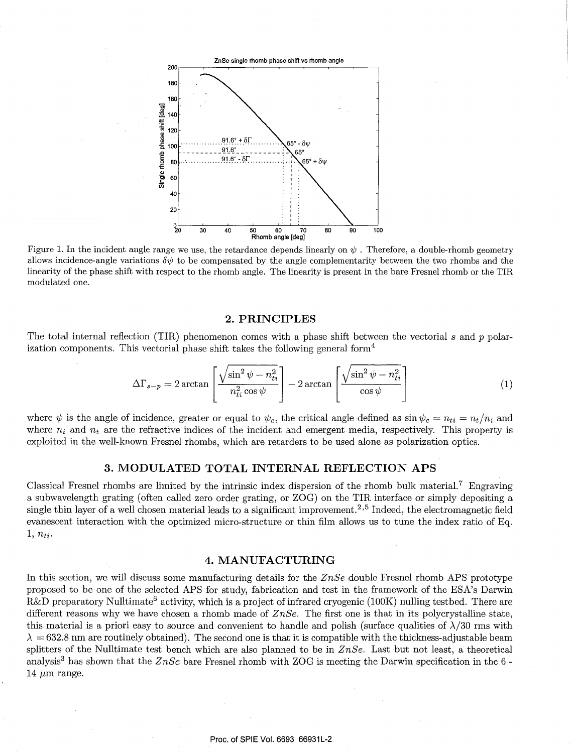

Figure 1. In the incident angle range we use, the retardance depends linearly on  $\psi$ . Therefore, a double-rhomb geometry allows incidence-angle variations  $\delta \psi$  to be compensated by the angle complementarity between the two rhombs and the linearity of the phase shift with respect to the rhomb angle. The linearity is present in the bare Fresnel rhomb or the TIR modulated one.

# 2. **PRINCIPLES**

The total internal reflection (TIR) phenomenon comes with a phase shift between the vectorial *s* and *p* polarization components. This vectorial phase shift takes the following general form<sup>4</sup>

$$
\Delta\Gamma_{s-p} = 2\arctan\left[\frac{\sqrt{\sin^2\psi - n_{ti}^2}}{n_{ti}^2\cos\psi}\right] - 2\arctan\left[\frac{\sqrt{\sin^2\psi - n_{ti}^2}}{\cos\psi}\right]
$$
(1)

where  $\psi$  is the angle of incidence, greater or equal to  $\psi_c$ , the critical angle defined as  $\sin \psi_c = n_{ti} = n_t/n_i$  and where  $n_i$  and  $n_t$  are the refractive indices of the incident and emergent media, respectively. This property is exploited in the well-known Fresnel rhombs, which are retarders to be used alone as polarization optics.

# **3. MODULATED TOTAL INTERNAL REFLECTION APS**

Classical Fresnel rhombs are limited by the intrinsic index dispersion of the rhomb bulk material.<sup>7</sup> Engraving a subwavelength grating (often called zero order grating, or ZOG) on the TIR interface or simply depositing a single thin layer of a well chosen material leads to a significant improvement.<sup>2,5</sup> Indeed, the electromagnetic field evanescent interaction with the optimized micro-structure or thin film allows us to tune the index ratio of Eq.  $1, n_{ti}.$ 

# **4. MANUFACTURING**

In this section, we will discuss some manufacturing details for the *ZnSe* double Fresnel rhomb APS prototype proposed to be one of the selected APS for study, fabrication and test in the framework of the ESA's Darwin  $R&D$  preparatory Nulltimate<sup>6</sup> activity, which is a project of infrared cryogenic (100K) nulling testbed. There are different reasons why we have chosen a rhomb made of *ZnSe.* The first one is that in its polycrystalline state, this material is a priori easy to source and convenient to handle and polish (surface qualities of  $\lambda/30$  rms with  $\lambda = 632.8$  nm are routinely obtained). The second one is that it is compatible with the thickness-adjustable beam splitters of the Nulltimate test bench which are also planned to be in *ZnSe.* Last but not least, a theoretical analysis<sup>3</sup> has shown that the *ZnSe* bare Fresnel rhomb with ZOG is meeting the Darwin specification in the 6 -14  $\mu$ m range.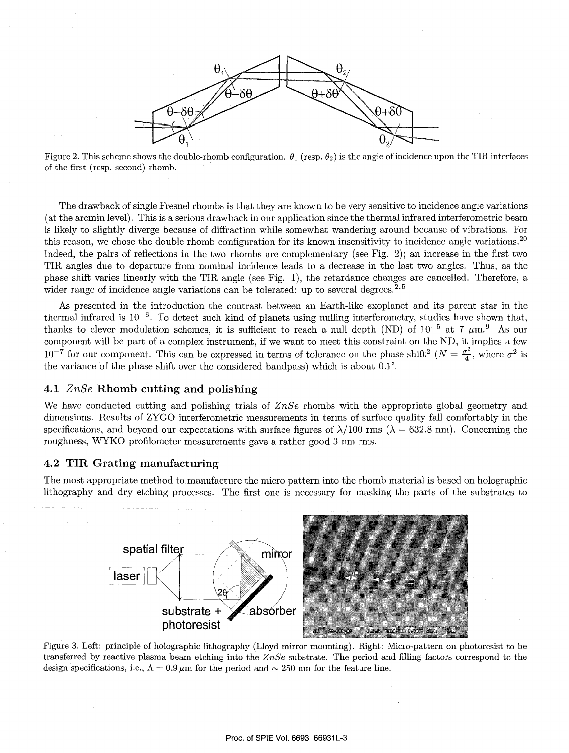

Figure 2. This scheme shows the double-rhomb configuration.  $\theta_1$  (resp.  $\theta_2$ ) is the angle of incidence upon the TIR interfaces of the first (resp. second) rhomb.

The drawback of single Fresnel rhombs is that they are known to be very sensitive to incidence angle variations (at the arcmin level). This is a serious drawback in our application since the thermal infrared interferometric beam is likely to slightly diverge because of diffraction while somewhat wandering around because of vibrations. For this reason, we chose the double rhomb configuration for its known insensitivity to incidence angle variations.<sup>20</sup> Indeed, the pairs of reflections in the two rhombs are complementary (see Fig. 2); an increase in the first two TIR angles due to departure from nominal incidence leads to a decrease in the last two angles. Thus, as the phase shift varies linearly with the TIR angle (see Fig. 1), the retardance changes are cancelled. Therefore, a wider range of incidence angle variations can be tolerated: up to several degrees.<sup>2,5</sup>

As presented in the introduction the contrast between an Earth-like exoplanet and its parent star in the thermal infrared is  $10^{-6}$ . To detect such kind of planets using nulling interferometry, studies have shown that, thanks to clever modulation schemes, it is sufficient to reach a null depth (ND) of  $10^{-5}$  at 7  $\mu$ m.<sup>9</sup> As our component will be part of a complex instrument, if we want to meet this constraint on the ND, it implies a few  $10^{-7}$  for our component. This can be expressed in terms of tolerance on the phase shift<sup>2</sup> ( $N = \frac{\sigma^2}{4}$ , where  $\sigma^2$  is the variance of the phase shift over the considered bandpass) which is about 0.1°.

# **4.1** *ZnSe* **Rhomb cutting and polishing**

We have conducted cutting and polishing trials of *ZnSe* rhombs with the appropriate global geometry and dimensions. Results of ZYGO interferometric measurements in terms of surface quality fall comfortably in the specifications, and beyond our expectations with surface figures of  $\lambda/100$  rms ( $\lambda = 632.8$  nm). Concerning the roughness, WYKO profilometer measurements gave a rather good 3 nm rms.

# 4.2 **TIR Grating manufacturing**

The most appropriate method to manufacture the micro pattern into the rhomb material is based on holographic lithography and dry etching processes. The first one is necessary for masking the parts of the substrates to



Figure 3. Left: principle of holographic lithography (Lloyd mirror mounting). Right: Micro-pattern on photoresist to be transferred by reactive plasma beam etching into the *ZnSe* substrate. The period and filling factors correspond to the design specifications, i.e.,  $\Lambda = 0.9 \,\mu \text{m}$  for the period and  $\sim 250 \text{ nm}$  for the feature line.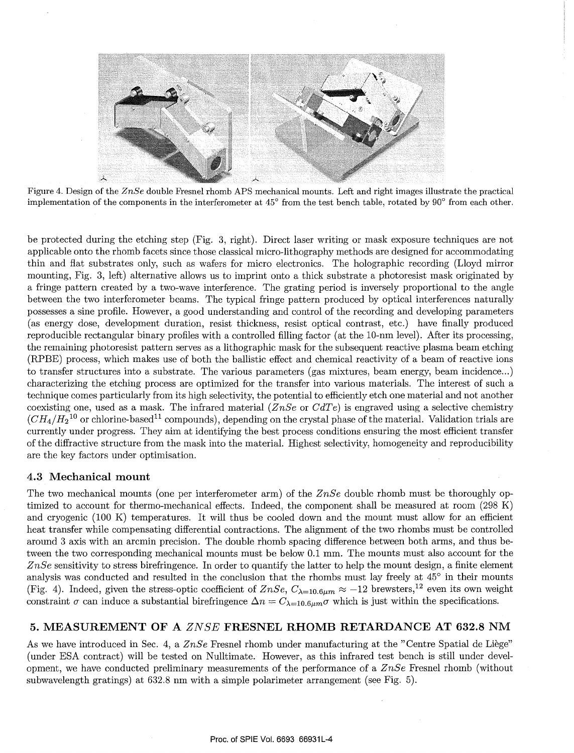

Figure 4. Design of the *ZnSe* double Fresnel rhomb APS mechanical mounts. Left and right images illustrate the practical implementation of the components in the interferometer at 45° from the test bench table, rotated by 90° from each other.

be protected during the etching step (Fig. 3, right). Direct laser writing or mask exposure techniques are not applicable onto the rhomb facets since those classical micro-lithography methods are designed for accommodating thin and flat substrates only, such as wafers for micro electronics. The holographic recording (Lloyd mirror mounting, Fig. 3, left) alternative allows us to imprint onto a thick substrate a photoresist mask originated by a fringe pattern created by a two-wave interference. The grating period is inversely proportional to the angle between the two interferometer beams. The typical fringe pattern produced by optical interferences naturally possesses a sine profile. However, a good understanding and control of the recording and developing parameters (as energy dose, development duration, resist thickness, resist optical contrast, etc.) have finally produced reproducible rectangular binary profiles with a controlled filling factor (at the 10-nm level). After its processing, the remaining photoresist pattern serves as a lithographic mask for the subsequent reactive plasma beam etching (RPBE) process, which makes use of both the ballistic effect and chemical reactivity of a beam of reactive ions to transfer structures into a substrate. The various parameters (gas mixtures, beam energy, beam incidence ... ) characterizing the etching process are optimized for the transfer into various materials. The interest of such a technique comes particularly from its high selectivity, the potential to efficiently etch one material and not another coexisting one, used as a mask. The infrared material *(ZnSe* or *CdTe)* is engraved using a selective chemistry  $(CH_4/H_2{}^{10}$  or chlorine-based<sup>11</sup> compounds), depending on the crystal phase of the material. Validation trials are currently under progress. They aim at identifying the best process conditions ensuring the most efficient transfer of the diffractive structure from the mask into the material. Highest selectivity, homogeneity and reproducibility are the key factors under optimisation.

# 4.3 **Mechanical mount**

The two mechanical mounts (one per interferometer arm) of the *ZnSe* double rhomb must be thoroughly optimized to account for thermo-mechanical effects. Indeed, the component shall be measured at room (298 K) and cryogenic (100 K) temperatures. It will thus be cooled down and the mount must allow for an efficient heat transfer while compensating differential contractions. The alignment of the two rhombs must be controlled around 3 axis with an arcmin precision. The double rhomb spacing difference between both arms, and thus between the two corresponding mechanical mounts must be below 0.1 mm. The mounts must also account for the *ZnSe* sensitivity to stress birefringence. In order to quantify the latter to help the mount design, a finite element analysis was conducted and resulted in the conclusion that the rhombs must lay freely at 45° in their mounts (Fig. 4). Indeed, given the stress-optic coefficient of  $ZnSe$ ,  $C_{\lambda=10.6\mu m} \approx -12$  brewsters,<sup>12</sup> even its own weight constraint  $\sigma$  can induce a substantial birefringence  $\Delta n = C_{\lambda=10.6\mu m}\sigma$  which is just within the specifications.

# **5. MEASUREMENT OF A** *ZNSE* **FRESNEL RHOMB RETARDANCE AT 632.8 NM**

As we have introduced in Sec. 4, a *ZnSe* Fresnel rhomb under manufacturing at the "Centre Spatial de Liege" (under ESA contract) will be tested on Nulltimate. However, as this infrared test bench is still under development, we have conducted preliminary measurements of the performance of a *ZnSe* Fresnel rhomb (without subwavelength gratings) at 632.8 nm with a simple polarimeter arrangement (see Fig. 5).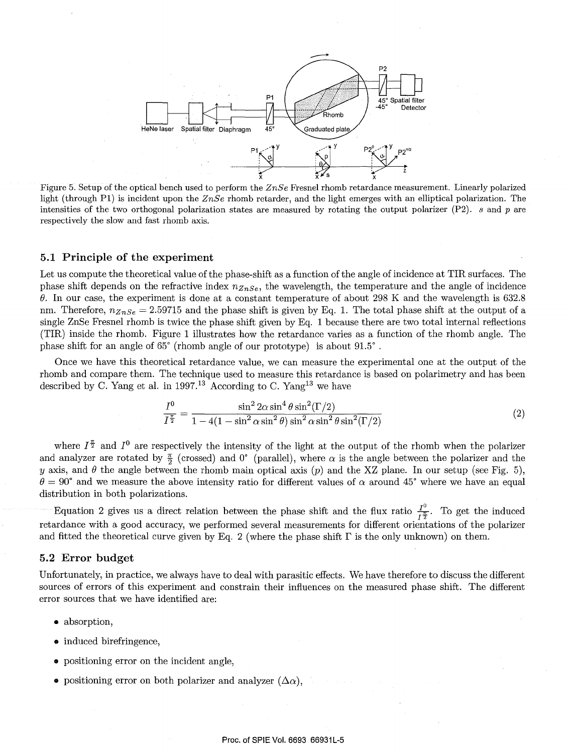

Figure 5. Setup of the optical bench used to perform the *ZnSe* Fresnel rhomb retardance measurement. Linearly polarized light (through Pl) is incident upon the *ZnSe* rhomb retarder, and the light emerges with an elliptical polarization. The intensities of the two orthogonal polarization states are measured by rotating the output polarizer (P2). *s* and p are respectively the slow and fast rhomb axis.

# **5.1 Principle of the experiment**

Let us compute the theoretical value of the phase-shift as a function of the angle of incidence at TIR surfaces. The phase shift depends on the refractive index *nznse,* the wavelength, the temperature and the angle of incidence *e.* In our case, the experiment is done at a constant temperature of about 298 K and the wavelength is 632.8 nm. Therefore,  $n_{ZnSe} = 2.59715$  and the phase shift is given by Eq. 1. The total phase shift at the output of a single ZnSe Fresnel rhomb is twice the phase shift given by Eq. 1 because there are two total internal reflections (TIR) inside the rhomb. Figure 1 illustrates how the retardance varies as a function of the rhomb angle. The phase shift for an angle of 65° (rhomb angle of our prototype) is about 91.5° .

Once we have this theoretical retardance value, we can measure the experimental one at the output of the rhomb and compare them. The technique used to measure this retardance is based on polarimetry and has been described by C. Yang et al. in 1997.<sup>13</sup> According to C. Yang<sup>13</sup> we have

$$
\frac{I^0}{I^{\frac{\pi}{2}}} = \frac{\sin^2 2\alpha \sin^4 \theta \sin^2(\Gamma/2)}{1 - 4(1 - \sin^2 \alpha \sin^2 \theta) \sin^2 \alpha \sin^2 \theta \sin^2(\Gamma/2)}
$$
(2)

where  $I^{\frac{\pi}{2}}$  and  $I^0$  are respectively the intensity of the light at the output of the rhomb when the polarizer and analyzer are rotated by  $\frac{\pi}{2}$  (crossed) and 0° (parallel), where  $\alpha$  is the angle between the polarizer and the y axis, and  $\theta$  the angle between the rhomb main optical axis (p) and the XZ plane. In our setup (see Fig. 5),  $\theta = 90^{\circ}$  and we measure the above intensity ratio for different values of  $\alpha$  around 45° where we have an equal distribution in both polarizations.

Equation 2 gives us a direct relation between the phase shift and the flux ratio  $\frac{I^0}{I^2}$ . To get the induced retardance with a good accuracy, we performed several measurements for different orientations of the polarizer and fitted the theoretical curve given by Eq. 2 (where the phase shift  $\Gamma$  is the only unknown) on them.

#### **5.2 Error budget**

Unfortunately, in practice, we always have to deal with parasitic effects. We have therefore to discuss the different sources of errors of this experiment and constrain their influences on the measured phase shift. The different error sources that we have identified are:

- absorption,
- induced birefringence,
- positioning error on the incident angle,
- positioning error on both polarizer and analyzer  $(\Delta \alpha)$ ,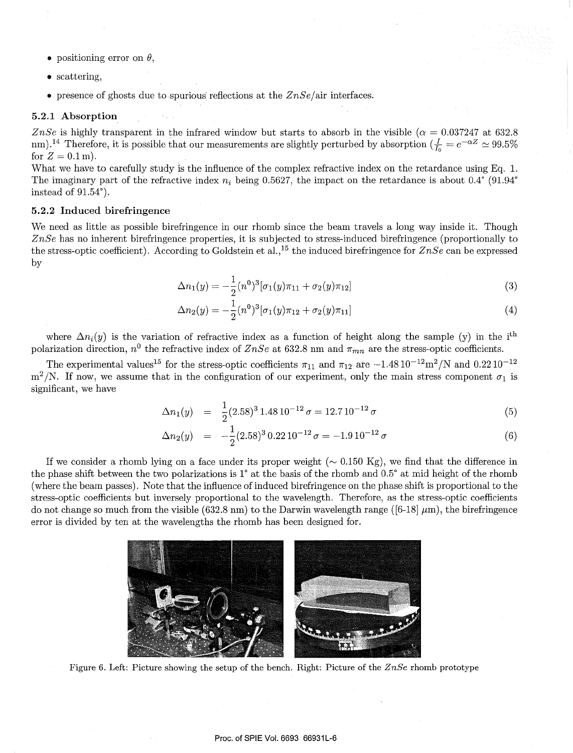- positioning error on  $\theta$ .
- scattering,
- presence of ghosts due to spurious reflections at the  $ZnSe/air$  interfaces.

# 5.2.1 Absorption

*ZnSe* is highly transparent in the infrared window but starts to absorb in the visible ( $\alpha = 0.037247$  at 632.8 nm).<sup>14</sup> Therefore, it is possible that our measurements are slightly perturbed by absorption  $(\frac{I}{I_0} = e^{-\alpha Z} \approx 99.5\%$ for  $Z = 0.1$  m).

What we have to carefully study is the influence of the complex refractive index on the retardance using Eq. 1. The imaginary part of the refractive index  $n_i$  being 0.5627, the impact on the retardance is about  $0.4^\circ$  (91.94°) instead of 91.54°).

#### 5.2.2 Induced birefringence

We need as little as possible birefringence in our rhomb since the beam travels a long way inside it. Though *ZnSe* has no inherent birefringence properties, it is subjected to stress-induced birefringence (proportionally to the stress-optic coefficient). According to Goldstein et al., 15 the induced birefringence for *ZnSe* can be expressed by

$$
\Delta n_1(y) = -\frac{1}{2} (n^0)^3 [\sigma_1(y)\pi_{11} + \sigma_2(y)\pi_{12}] \tag{3}
$$

$$
\Delta n_2(y) = -\frac{1}{2} (n^0)^3 [\sigma_1(y)\pi_{12} + \sigma_2(y)\pi_{11}] \tag{4}
$$

where  $\Delta n_i(y)$  is the variation of refractive index as a function of height along the sample (y) in the i<sup>th</sup> polarization direction,  $n^0$  the refractive index of *ZnSe* at 632.8 nm and  $\pi_{mn}$  are the stress-optic coefficients.

The experimental values<sup>15</sup> for the stress-optic coefficients  $\pi_{11}$  and  $\pi_{12}$  are  $-1.4810^{-12}$ m<sup>2</sup>/N and 0.2210<sup>-12</sup>  $m^2/N$ . If now, we assume that in the configuration of our experiment, only the main stress component  $\sigma_1$  is significant, we have

$$
\Delta n_1(y) = \frac{1}{2} (2.58)^3 1.48 10^{-12} \sigma = 12.7 10^{-12} \sigma \tag{5}
$$

$$
\Delta n_2(y) = -\frac{1}{2}(2.58)^3 \cdot 0.22 \cdot 10^{-12} \sigma = -1.9 \cdot 10^{-12} \sigma \tag{6}
$$

If we consider a rhomb lying on a face under its proper weight ( $\sim 0.150 \text{ Kg}$ ), we find that the difference in the phase shift between the two polarizations is 1° at the basis of the rhomb and 0.5° at mid height of the rhomb (where the beam passes). Note that the influence of induced birefringence on the phase shift is proportional to the stress-optic coefficients but inversely proportional to the wavelength. Therefore, as the stress-optic coefficients do not change so much from the visible (632.8 nm) to the Darwin wavelength range ([6-18]  $\mu$ m), the birefringence error is divided by ten at the wavelengths the rhomb has been designed for.



Figure 6. Left: Picture showing the setup of the bench. Right: Picture of the *ZnSe* rhomb prototype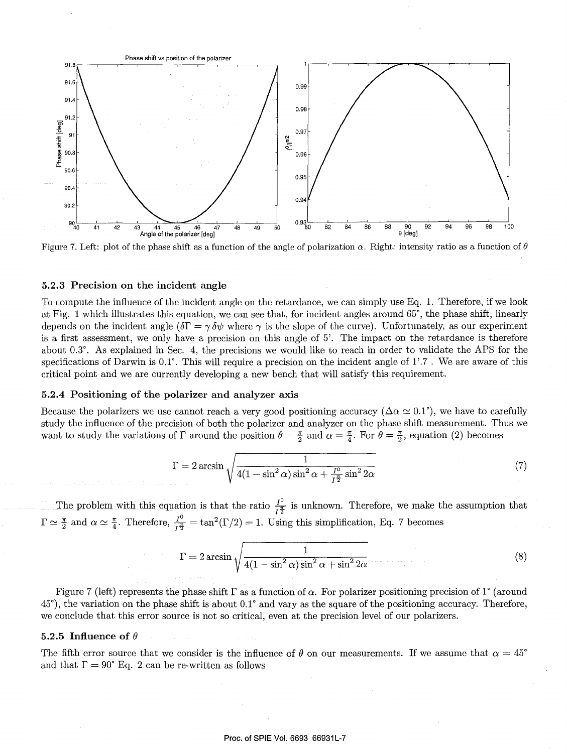

Figure 7. Left: plot of the phase shift as a function of the angle of polarization  $\alpha$ . Right: intensity ratio as a function of  $\theta$ 

#### 5.2.3 Precision on the incident angle

To compute the influence of the incident angle on the retardance, we can simply use Eq. 1. Therefore, if we look at Fig. 1 which illustrates this equation, we can see that, for incident angles around 65°, the phase shift, linearly depends on the incident angle  $(\delta \Gamma = \gamma \delta \psi)$  where  $\gamma$  is the slope of the curve). Unfortunately, as our experiment is a first assessment, we only have a precision on this angle of 5'. The impact on the retardance is therefore about 0.3°. As explained in Sec. 4, the precisions we would like to reach in order to validate the APS for the specifications of Darwin is  $0.1^{\circ}$ . This will require a precision on the incident angle of 1'.7. We are aware of this critical point and we are currently developing a new bench that will satisfy this requirement.

# 5.2.4 Positioning of the polarizer and analyzer axis

Because the polarizers we use cannot reach a very good positioning accuracy ( $\Delta \alpha \simeq 0.1^{\circ}$ ), we have to carefully study the influence of the precision of both the polarizer and analyzer on the phase shift measurement. Thus we want to study the variations of  $\Gamma$  around the position  $\theta = \frac{\pi}{2}$  and  $\alpha = \frac{\pi}{4}$ . For  $\theta = \frac{\pi}{2}$ , equation (2) becomes

$$
\Gamma = 2 \arcsin \sqrt{\frac{1}{4(1 - \sin^2 \alpha) \sin^2 \alpha + \frac{I^0}{I^{\frac{\pi}{2}}} \sin^2 2\alpha}}\tag{7}
$$

The problem with this equation is that the ratio  $\frac{I^0}{I^{\frac{n}{2}}}$  is unknown. Therefore, we make the assumption that  $\Gamma \simeq \frac{\pi}{2}$  and  $\alpha \simeq \frac{\pi}{4}$ . Therefore,  $\frac{I^0}{I^{\frac{\pi}{2}}} = \tan^2(\Gamma/2) = 1$ . Using this simplification, Eq. 7 becomes

$$
\Gamma = 2 \arcsin \sqrt{\frac{1}{4(1 - \sin^2 \alpha) \sin^2 \alpha + \sin^2 2\alpha}}
$$
 (8)

Figure 7 (left) represents the phase shift  $\Gamma$  as a function of  $\alpha$ . For polarizer positioning precision of 1° (around 45°), the variation on the phase shift is about 0.1° and vary as the square of the positioning accuracy. Therefore, we conclude that this error source is not so critical, even at the precision level of our polarizers.

## 5.2.5 Influence of  $\theta$

The fifth error source that we consider is the influence of  $\theta$  on our measurements. If we assume that  $\alpha = 45^{\circ}$ and that  $\Gamma = 90^{\circ}$  Eq. 2 can be re-written as follows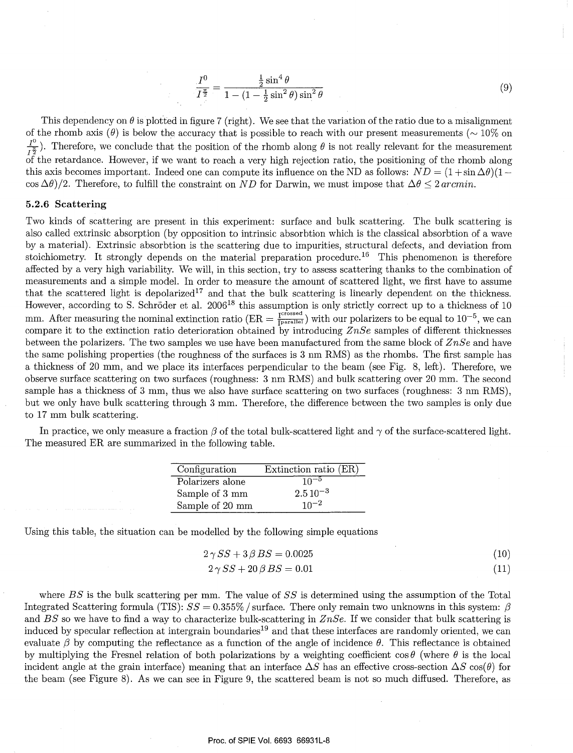$$
\frac{I^0}{I^{\frac{\pi}{2}}} = \frac{\frac{1}{2}\sin^4\theta}{1 - (1 - \frac{1}{2}\sin^2\theta)\sin^2\theta}
$$
(9)

This dependency on  $\theta$  is plotted in figure 7 (right). We see that the variation of the ratio due to a misalignment of the rhomb axis  $(\theta)$  is below the accuracy that is possible to reach with our present measurements ( $\sim 10\%$  on  $\frac{I^0}{I^{\frac{n}{2}}}$ ). Therefore, we conclude that the position of the rhomb along  $\theta$  is not really relevant for the measurement  $\overrightarrow{a}$  the retardance. However, if we want to reach a very high rejection ratio, the positioning of the rhomb along this axis becomes important. Indeed one can compute its influence on the ND as follows:  $ND = (1 + \sin \Delta\theta)(1 \cos \Delta\theta$ /2. Therefore, to fulfill the constraint on *ND* for Darwin, we must impose that  $\Delta\theta \leq 2 \arcsin n$ .

### **5.2.6 Scattering**

Two kinds of scattering are present in this experiment: surface and bulk scattering. The bulk scattering is also called extrinsic absorption (by opposition to intrinsic absorbtion which is the classical absorbtion of a wave by a material). Extrinsic absorbtion is the scattering due to impurities, structural defects, and deviation from stoichiometry. It strongly depends on the material preparation procedure.<sup>16</sup> This phenomenon is therefore affected by a very high variability. We will, in this section, try to assess scattering thanks to the combination of measurements and a simple model. In order to measure the amount of scattered light, we first have to assume that the scattered light is depolarized<sup>17</sup> and that the bulk scattering is linearly dependent on the thickness. However, according to S. Schröder et al. 2006<sup>18</sup> this assumption is only strictly correct up to a thickness of 10 mm. After measuring the nominal extinction ratio ( $ER = \frac{I^{crossed}}{Iparallel}}$ ) with our polarizers to be equal to  $10^{-5}$ , we can compare it to the extinction ratio deterioration obtained by introducing *ZnSe* samples of different thicknesses between the polarizers. The two samples we use have been manufactured from the same block of *ZnSe* and have the same polishing properties (the roughness of the surfaces is 3 nm RMS) as the rhombs. The first sample has a thickness of 20 mm, and we place its interfaces perpendicular to the beam (see Fig. 8, left). Therefore, we observe surface scattering on two surfaces (roughness: 3 nm RMS) and bulk scattering over 20 mm. The second sample has a thickness of 3 mm, thus we also have surface scattering on two surfaces (roughness: 3 nm RMS), but we only have bulk scattering through 3 mm. Therefore, the difference between the two samples is only due to 17 mm bulk scattering.

In practice, we only measure a fraction  $\beta$  of the total bulk-scattered light and  $\gamma$  of the surface-scattered light. The measured ER are summarized in the following table.

| Configuration    | Extinction ratio (ER) |
|------------------|-----------------------|
| Polarizers alone | $10^{-5}$             |
| Sample of 3 mm   | $2.5\,10^{-3}$        |
| Sample of 20 mm  | $10^{-2}$             |

Using this table, the situation can be modelled by the following simple equations

$$
2\gamma SS + 3\beta BS = 0.0025\tag{10}
$$

$$
2\gamma SS + 20\beta BS = 0.01\tag{11}
$$

where *BS* is the bulk scattering per mm. The value of *SS* is determined using the assumption of the Total Integrated Scattering formula (TIS):  $SS = 0.355\%$  / surface. There only remain two unknowns in this system:  $\beta$ and *BS* so we have to find a way to characterize bulk-scattering in *ZnSe.* If we consider that bulk scattering is induced by specular reflection at intergrain boundaries<sup>19</sup> and that these interfaces are randomly oriented, we can evaluate  $\beta$  by computing the reflectance as a function of the angle of incidence  $\theta$ . This reflectance is obtained by multiplying the Fresnel relation of both polarizations by a weighting coefficient  $\cos \theta$  (where  $\theta$  is the local incident angle at the grain interface) meaning that an interface  $\Delta S$  has an effective cross-section  $\Delta S$  cos( $\theta$ ) for the beam (see Figure 8). As we can see in Figure 9, the scattered beam is not so much diffused. Therefore, as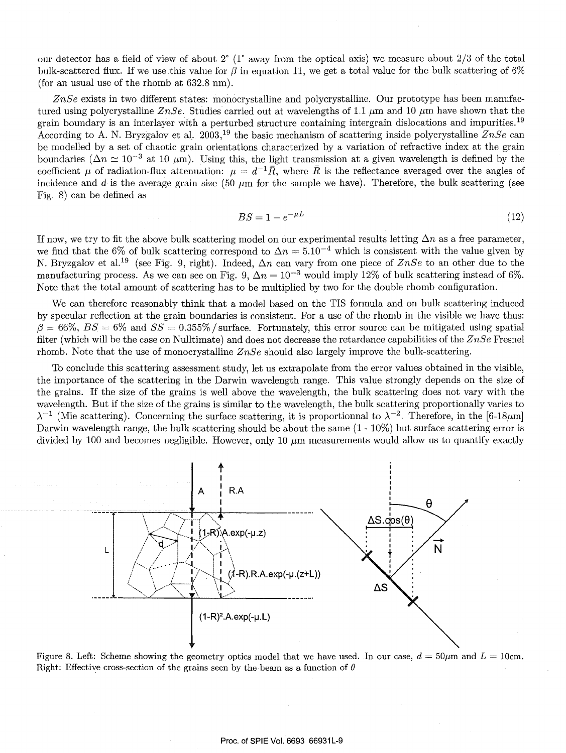our detector has a field of view of about 2° (1° away from the optical axis) we measure about 2/3 of the total bulk-scattered flux. If we use this value for  $\beta$  in equation 11, we get a total value for the bulk scattering of 6% (for an usual use of the rhomb at 632.8 nm).

*ZnSe* exists in two different states: monocrystalline and polycrystalline. Our prototype has been manufactured using polycrystalline *ZnSe*. Studies carried out at wavelengths of 1.1  $\mu$ m and 10  $\mu$ m have shown that the grain boundary is an interlayer with a perturbed structure containing intergrain dislocations and impurities. <sup>19</sup> According to A. N. Bryzgalov et aL 2003, 19 the basic mechanism of scattering inside polycrystalline *ZnSe* can be modelled by a set of chaotic grain orientations characterized by a variation of refractive index at the grain boundaries ( $\Delta n \simeq 10^{-3}$  at 10  $\mu$ m). Using this, the light transmission at a given wavelength is defined by the coefficient  $\mu$  of radiation-flux attenuation:  $\mu = d^{-1}\overline{R}$ , where  $\overline{R}$  is the reflectance averaged over the angles of incidence and  $d$  is the average grain size (50  $\mu$ m for the sample we have). Therefore, the bulk scattering (see Fig. 8) can be defined as

$$
BS = 1 - e^{-\mu L} \tag{12}
$$

If now, we try to fit the above bulk scattering model on our experimental results letting  $\Delta n$  as a free parameter, we find that the 6% of bulk scattering correspond to  $\Delta n = 5.10^{-4}$  which is consistent with the value given by N. Bryzgalov et al.<sup>19</sup> (see Fig. 9, right). Indeed,  $\Delta n$  can vary from one piece of  $ZnSe$  to an other due to the manufacturing process. As we can see on Fig. 9,  $\Delta n = 10^{-3}$  would imply 12% of bulk scattering instead of 6%. Note that the total amount of scattering has to be multiplied by two for the double rhomb configuration.

We can therefore reasonably think that a model based on the TIS formula and on bulk scattering induced by specular reflection at the grain boundaries is consistent. For a use of the rhomb in the visible we have thus:  $\beta=66\%$ ,  $BS=6\%$  and  $SS=0.355\%$  / surface. Fortunately, this error source can be mitigated using spatial filter (which will be the case on Nulltimate) and does not decrease the retardance capabilities of the *ZnSe* Fresnel rhomb. Note that the use of monocrystalline *ZnSe* should also largely improve the bulk-scattering.

To conclude this scattering assessment study, let us extrapolate from the error values obtained in the visible, the importance of the scattering in the Darwin wavelength range. This value strongly depends on the size of the grains. If the size of the grains is well above the wavelength, the bulk scattering does not vary with the wavelength. But if the size of the grains is similar to the wavelength, the bulk scattering proportionally varies to  $\lambda^{-1}$  (Mie scattering). Concerning the surface scattering, it is proportionnal to  $\lambda^{-2}$ . Therefore, in the [6-18µm] Darwin wavelength range, the bulk scattering should be about the same  $(1 - 10\%)$  but surface scattering error is divided by 100 and becomes negligible. However, only 10  $\mu$ m measurements would allow us to quantify exactly



Figure 8. Left: Scheme showing the geometry optics model that we have used. In our case,  $d = 50 \mu m$  and  $L = 10 \text{cm}$ . Right: Effective cross-section of the grains seen by the beam as a function of  $\theta$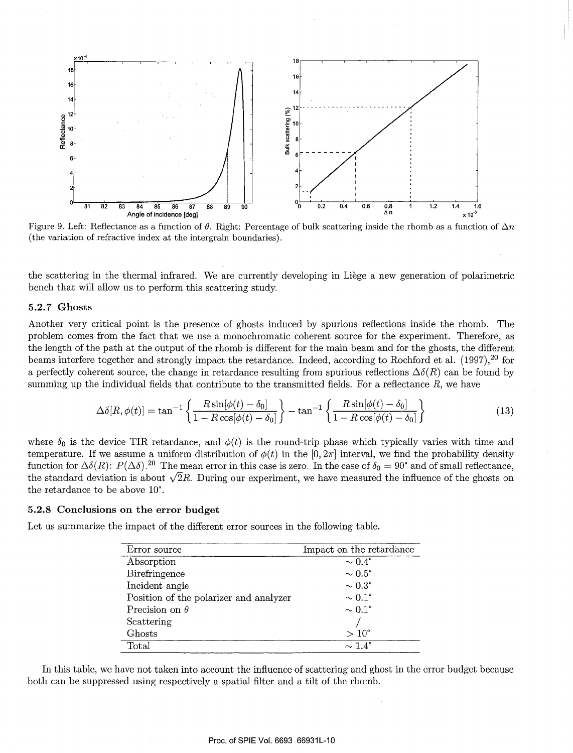

Figure 9. Left: Reflectance as a function of  $\theta$ . Right: Percentage of bulk scattering inside the rhomb as a function of  $\Delta n$ (the variation of refractive index at the intergrain boundaries).

the scattering in the thermal infrared. We are currently developing in Liege a new generation of polarimetric bench that will allow us to perform this scattering study.

## 5.2.7 Ghosts

Another very critical point is the presence of ghosts induced by spurious reflections inside the rhomb. The problem comes from the fact that we use a monochromatic coherent source for the experiment. Therefore, as the length of the path at the output of the rhomb is different for the main beam and for the ghosts, the different beams interfere together and strongly impact the retardance. Indeed, according to Rochford et al. (1997), 20 for a perfectly coherent source, the change in retardance resulting from spurious reflections  $\Delta\delta(R)$  can be found by summing up the individual fields that contribute to the transmitted fields. For a reflectance  $R$ , we have

$$
\Delta\delta[R,\phi(t)] = \tan^{-1}\left\{\frac{R\sin[\phi(t)-\delta_0]}{1-R\cos[\phi(t)-\delta_0]}\right\} - \tan^{-1}\left\{\frac{R\sin[\phi(t)-\delta_0]}{1-R\cos[\phi(t)-\delta_0]}\right\}
$$
(13)

where  $\delta_0$  is the device TIR retardance, and  $\phi(t)$  is the round-trip phase which typically varies with time and temperature. If we assume a uniform distribution of  $\phi(t)$  in the [0, 2 $\pi$ ] interval, we find the probability density function for  $\Delta\delta(R)$ :  $P(\Delta\delta)$ . <sup>20</sup> The mean error in this case is zero. In the case of  $\delta_0 = 90^\circ$  and of small reflectance, the standard deviation is about  $\sqrt{2}R$ . During our experiment, we have measured the influence of the ghosts on the retardance to be above 10°.

# 5.2.8 Conclusions on the error budget

Let us summarize the impact of the different error sources in the following table.

| Error source                           | Impact on the retardance |
|----------------------------------------|--------------------------|
| Absorption                             | $\sim 0.4^{\circ}$       |
| Birefringence                          | $\sim 0.5^{\circ}$       |
| Incident angle                         | $\sim 0.3^{\circ}$       |
| Position of the polarizer and analyzer | $\sim 0.1^{\circ}$       |
| Precision on $\theta$                  | $\sim 0.1^{\circ}$       |
| Scattering                             |                          |
| Ghosts                                 | $>10^{\circ}$            |
| Total                                  | $\sim$ 1.4 $^{\circ}$    |

In this table, we have not taken into account the influence of scattering and ghost in the error budget because both can be suppressed using respectively a spatial filter and a tilt of the rhomb.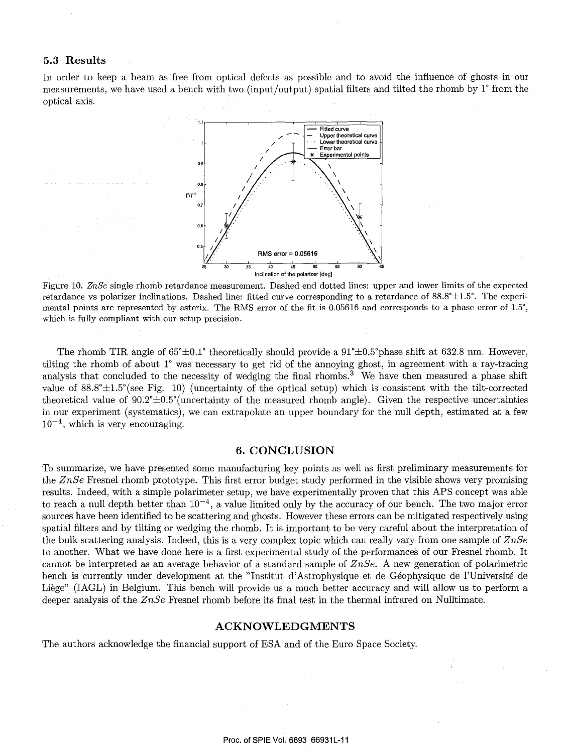# **5.3 Results**

In order to keep a beam as free from optical defects as possible and to avoid the influence of ghosts in our measurements, we have used a bench with two (input/output) spatial filters and tilted the rhomb by 1° from the optical axis.



Figure 10. *ZnSe* single rhomb retardance measurement. Dashed end dotted lines: upper and lower limits of the expected retardance vs polarizer inclinations. Dashed line: fitted curve corresponding to a retardance of  $88.8°\pm1.5°$ . The experimental points are represented by asterix. The RMS error of the fit is 0.05616 and corresponds to a phase error of 1.5°, which is fully compliant with our setup precision.

The rhomb TIR angle of  $65^{\circ} \pm 0.1^{\circ}$  theoretically should provide a  $91^{\circ} \pm 0.5^{\circ}$  phase shift at 632.8 nm. However, tilting the rhomb of about 1° was necessary to get rid of the annoying ghost, in agreement with a ray-tracing analysis that concluded to the necessity of wedging the final rhombs.<sup>3</sup> We have then measured a phase shift value of  $88.8^{\circ} \pm 1.5^{\circ}$  (see Fig. 10) (uncertainty of the optical setup) which is consistent with the tilt-corrected theoretical value of  $90.2^{\circ} \pm 0.5^{\circ}$  (uncertainty of the measured rhomb angle). Given the respective uncertainties in our experiment (systematics), we can extrapolate an upper boundary for the null depth, estimated at a few  $10^{-4}$ , which is very encouraging.

# **6. CONCLUSION**

To summarize, we have presented some manufacturing key points as well as first preliminary measurements for the *ZnSe* Fresnel rhomb prototype. This first error budget study performed in the visible shows very promising results. Indeed, with a simple polarimeter setup, we have experimentally proven that this APS concept was able to reach a null depth better than  $10^{-4}$ , a value limited only by the accuracy of our bench. The two major error sources have been identified to be scattering and ghosts. However these errors can be mitigated respectively using spatial filters and by tilting or wedging the rhomb. It is important to be very careful about the interpretation of the bulk scattering analysis. Indeed, this is a very complex topic which can really vary from one sample of *ZnSe*  to another. What we have done here is a first experimental study of the performances of our Fresnel rhomb. It cannot be interpreted as an average behavior of a standard sample of *ZnSe.* A new generation of polarimetric bench is currently under development at the "Institut d'Astrophysique et de Geophysique de l'Universite de Liège" (IAGL) in Belgium. This bench will provide us a much better accuracy and will allow us to perform a deeper analysis of the *ZnSe* Fresnel rhomb before its final test in the thermal infrared on Nulltimate.

#### **ACKNOWLEDGMENTS**

The authors acknowledge the financial support of ESA and of the Euro Space Society.